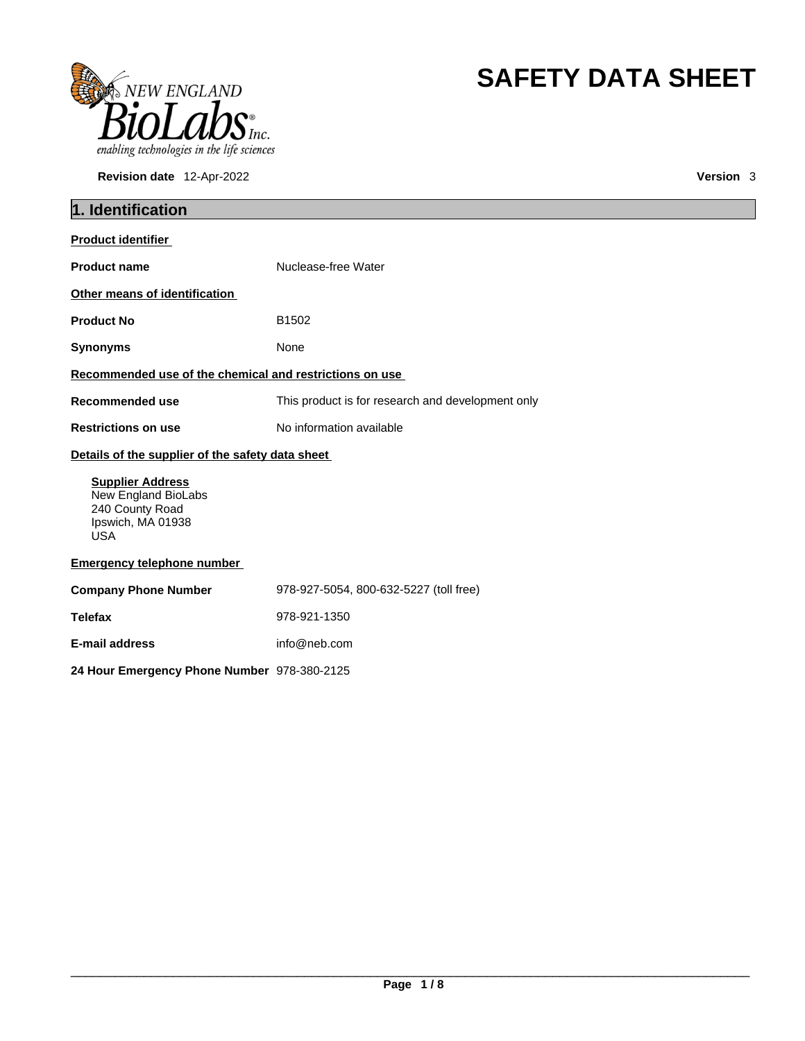

**Revision date** 12-Apr-2022 **Version** 3

# **SAFETY DATA SHEET**

| 1. Identification                                                                                    |                                                   |
|------------------------------------------------------------------------------------------------------|---------------------------------------------------|
| <b>Product identifier</b>                                                                            |                                                   |
| <b>Product name</b>                                                                                  | Nuclease-free Water                               |
| Other means of identification                                                                        |                                                   |
| <b>Product No</b>                                                                                    | B1502                                             |
| <b>Synonyms</b>                                                                                      | None                                              |
| Recommended use of the chemical and restrictions on use                                              |                                                   |
| <b>Recommended use</b>                                                                               | This product is for research and development only |
| <b>Restrictions on use</b>                                                                           | No information available                          |
| Details of the supplier of the safety data sheet                                                     |                                                   |
| <b>Supplier Address</b><br>New England BioLabs<br>240 County Road<br>Ipswich, MA 01938<br><b>USA</b> |                                                   |
| <b>Emergency telephone number</b>                                                                    |                                                   |
| <b>Company Phone Number</b>                                                                          | 978-927-5054, 800-632-5227 (toll free)            |
| <b>Telefax</b>                                                                                       | 978-921-1350                                      |
| <b>E-mail address</b>                                                                                | info@neb.com                                      |
| 24 Hour Emergency Phone Number 978-380-2125                                                          |                                                   |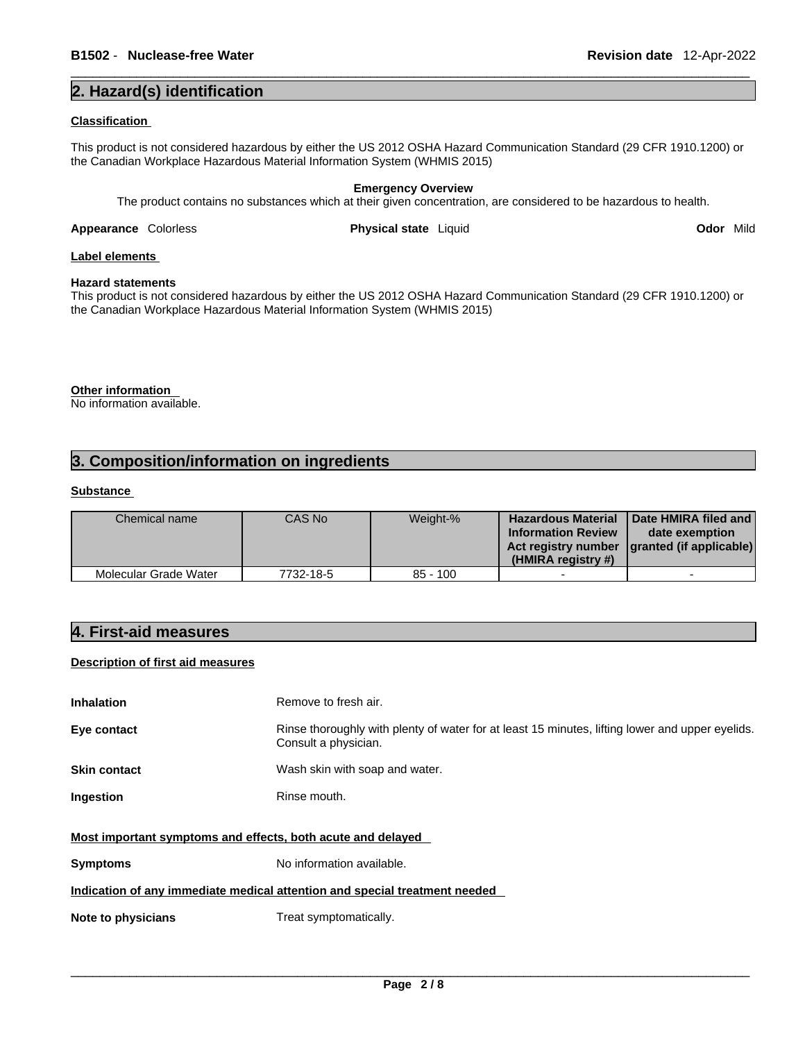### **2. Hazard(s) identification**

### **Classification**

This product is not considered hazardous by either the US 2012 OSHA Hazard Communication Standard (29 CFR 1910.1200) or the Canadian Workplace Hazardous Material Information System (WHMIS 2015)

### **Emergency Overview**

The product contains no substances which at their given concentration, are considered to be hazardous to health.

**Appearance** Colorless **Physical state** Liquid **Odor** Mild

### **Label elements**

### **Hazard statements**

This product is not considered hazardous by either the US 2012 OSHA Hazard Communication Standard (29 CFR 1910.1200) or the Canadian Workplace Hazardous Material Information System (WHMIS 2015)

**Other information**  No information available.

### **3. Composition/information on ingredients**

### **Substance**

| Chemical name         | CAS No    | Weight-%   | <b>Hazardous Material</b><br><b>Information Review</b><br>(HMIRA registry #) | <b>I</b> Date HMIRA filed and I<br>date exemption<br>Act registry number   granted (if applicable) |  |
|-----------------------|-----------|------------|------------------------------------------------------------------------------|----------------------------------------------------------------------------------------------------|--|
| Molecular Grade Water | 7732-18-5 | $85 - 100$ |                                                                              |                                                                                                    |  |

### **4. First-aid measures**

### **Description of first aid measures**

| <b>Inhalation</b>                                           | Remove to fresh air.                                                                                                    |
|-------------------------------------------------------------|-------------------------------------------------------------------------------------------------------------------------|
| Eye contact                                                 | Rinse thoroughly with plenty of water for at least 15 minutes, lifting lower and upper eyelids.<br>Consult a physician. |
| <b>Skin contact</b>                                         | Wash skin with soap and water.                                                                                          |
| Ingestion                                                   | Rinse mouth.                                                                                                            |
| Most important symptoms and effects, both acute and delayed |                                                                                                                         |
| <b>Symptoms</b>                                             | No information available.                                                                                               |
|                                                             | Indication of any immediate medical attention and special treatment needed                                              |
| Note to physicians                                          | Treat symptomatically.                                                                                                  |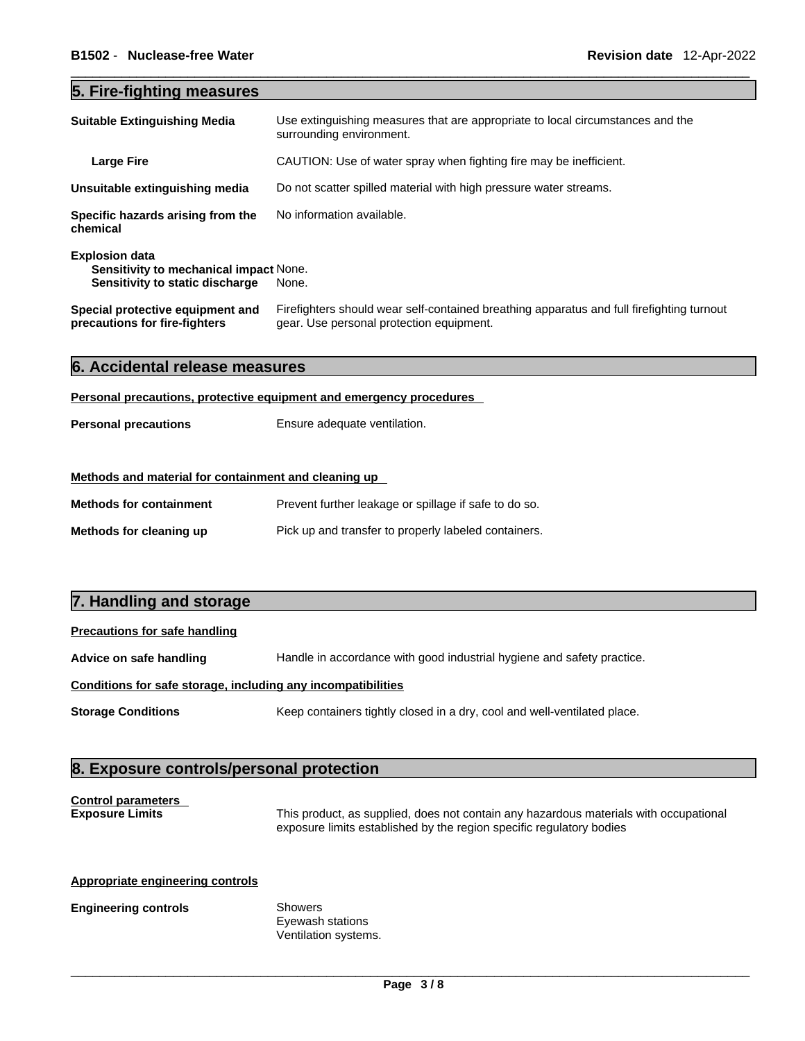### **5. Fire-fighting measures**

| <b>Suitable Extinguishing Media</b>                                                                       | Use extinguishing measures that are appropriate to local circumstances and the<br>surrounding environment.                            |
|-----------------------------------------------------------------------------------------------------------|---------------------------------------------------------------------------------------------------------------------------------------|
| <b>Large Fire</b>                                                                                         | CAUTION: Use of water spray when fighting fire may be inefficient.                                                                    |
| Unsuitable extinguishing media                                                                            | Do not scatter spilled material with high pressure water streams.                                                                     |
| Specific hazards arising from the<br>chemical                                                             | No information available.                                                                                                             |
| <b>Explosion data</b><br><b>Sensitivity to mechanical impact None.</b><br>Sensitivity to static discharge | None.                                                                                                                                 |
| Special protective equipment and<br>precautions for fire-fighters                                         | Firefighters should wear self-contained breathing apparatus and full firefighting turnout<br>gear. Use personal protection equipment. |

|  | 6. Accidental release measures |  |  |  |
|--|--------------------------------|--|--|--|
|--|--------------------------------|--|--|--|

### **Personal precautions, protective equipment and emergency procedures**

| <b>Personal precautions</b> | Ensure adequate ventilation. |
|-----------------------------|------------------------------|
|                             |                              |

### **Methods and material for containment and cleaning up**

| <b>Methods for containment</b> | Prevent further leakage or spillage if safe to do so. |
|--------------------------------|-------------------------------------------------------|
| Methods for cleaning up        | Pick up and transfer to properly labeled containers.  |

### **7. Handling and storage**

### **Precautions for safe handling**

**Advice on safe handling** Handle in accordance with good industrial hygiene and safety practice.

### **Conditions for safe storage, including any incompatibilities**

**Storage Conditions** Keep containers tightly closed in a dry, cool and well-ventilated place.

### **8. Exposure controls/personal protection**

## **Control parameters**

**Exposure Limits** This product, as supplied, does not contain any hazardous materials with occupational exposure limits established by the region specific regulatory bodies

### **Appropriate engineering controls**

### **Engineering controls** Showers

Eyewash stations Ventilation systems.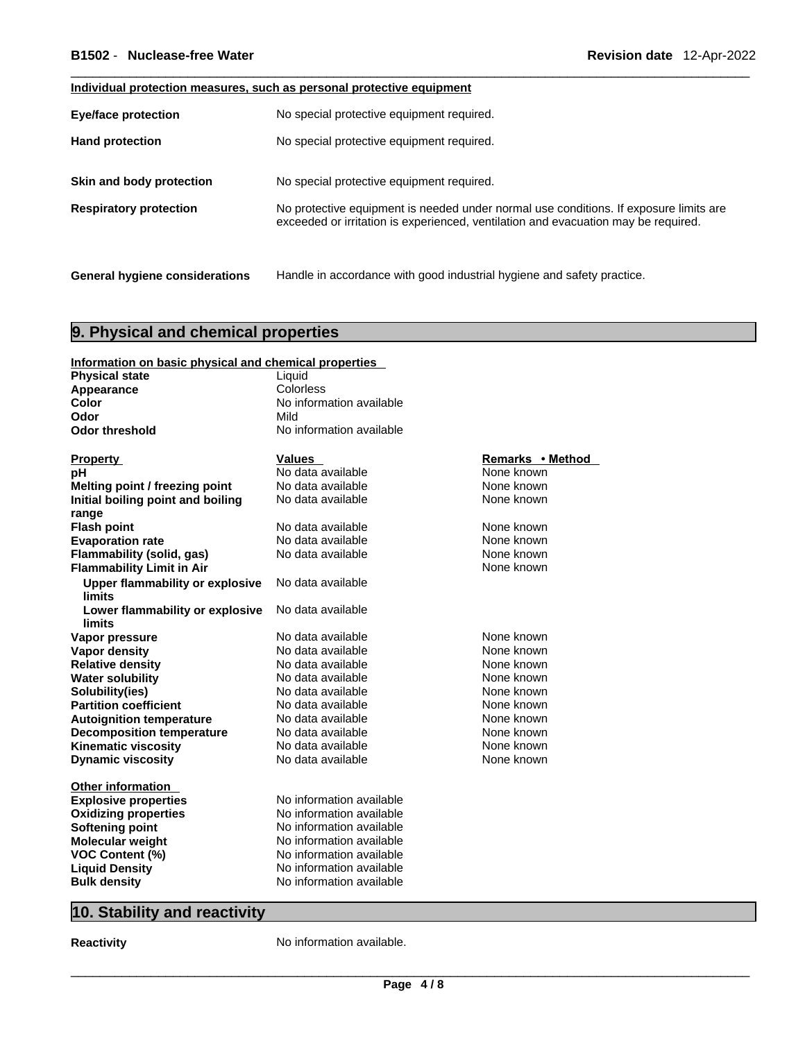### **Individual protection measures, such as personal protective equipment**

| <b>Eye/face protection</b>            | No special protective equipment required.                                                                                                                                   |
|---------------------------------------|-----------------------------------------------------------------------------------------------------------------------------------------------------------------------------|
| <b>Hand protection</b>                | No special protective equipment required.                                                                                                                                   |
| Skin and body protection              | No special protective equipment required.                                                                                                                                   |
| <b>Respiratory protection</b>         | No protective equipment is needed under normal use conditions. If exposure limits are<br>exceeded or irritation is experienced, ventilation and evacuation may be required. |
|                                       |                                                                                                                                                                             |
| <b>General hygiene considerations</b> | Handle in accordance with good industrial hygiene and safety practice.                                                                                                      |

### **9. Physical and chemical properties**

| Information on basic physical and chemical properties |                          |                  |
|-------------------------------------------------------|--------------------------|------------------|
| <b>Physical state</b>                                 | Liquid                   |                  |
| Appearance                                            | Colorless                |                  |
| Color                                                 | No information available |                  |
| Odor                                                  | Mild                     |                  |
| <b>Odor threshold</b>                                 | No information available |                  |
|                                                       |                          |                  |
| <b>Property</b>                                       | <b>Values</b>            | Remarks • Method |
| рH                                                    | No data available        | None known       |
| Melting point / freezing point                        | No data available        | None known       |
| Initial boiling point and boiling                     | No data available        | None known       |
| range                                                 |                          |                  |
| <b>Flash point</b>                                    | No data available        | None known       |
| <b>Evaporation rate</b>                               | No data available        | None known       |
| Flammability (solid, gas)                             | No data available        | None known       |
| <b>Flammability Limit in Air</b>                      |                          | None known       |
| <b>Upper flammability or explosive</b>                | No data available        |                  |
| <b>limits</b>                                         |                          |                  |
| Lower flammability or explosive                       | No data available        |                  |
| limits                                                |                          |                  |
| Vapor pressure                                        | No data available        | None known       |
| <b>Vapor density</b>                                  | No data available        | None known       |
| <b>Relative density</b>                               | No data available        | None known       |
| <b>Water solubility</b>                               | No data available        | None known       |
| Solubility(ies)                                       | No data available        | None known       |
| <b>Partition coefficient</b>                          | No data available        | None known       |
| <b>Autoignition temperature</b>                       | No data available        | None known       |
| <b>Decomposition temperature</b>                      | No data available        | None known       |
| <b>Kinematic viscosity</b>                            | No data available        | None known       |
| <b>Dynamic viscosity</b>                              | No data available        | None known       |
|                                                       |                          |                  |
| <b>Other information</b>                              | No information available |                  |
| <b>Explosive properties</b>                           |                          |                  |
| <b>Oxidizing properties</b>                           | No information available |                  |
| <b>Softening point</b>                                | No information available |                  |
| Molecular weight                                      | No information available |                  |
| <b>VOC Content (%)</b>                                | No information available |                  |
| <b>Liquid Density</b>                                 | No information available |                  |
| <b>Bulk density</b>                                   | No information available |                  |

### **10. Stability and reactivity**

**Reactivity No information available.**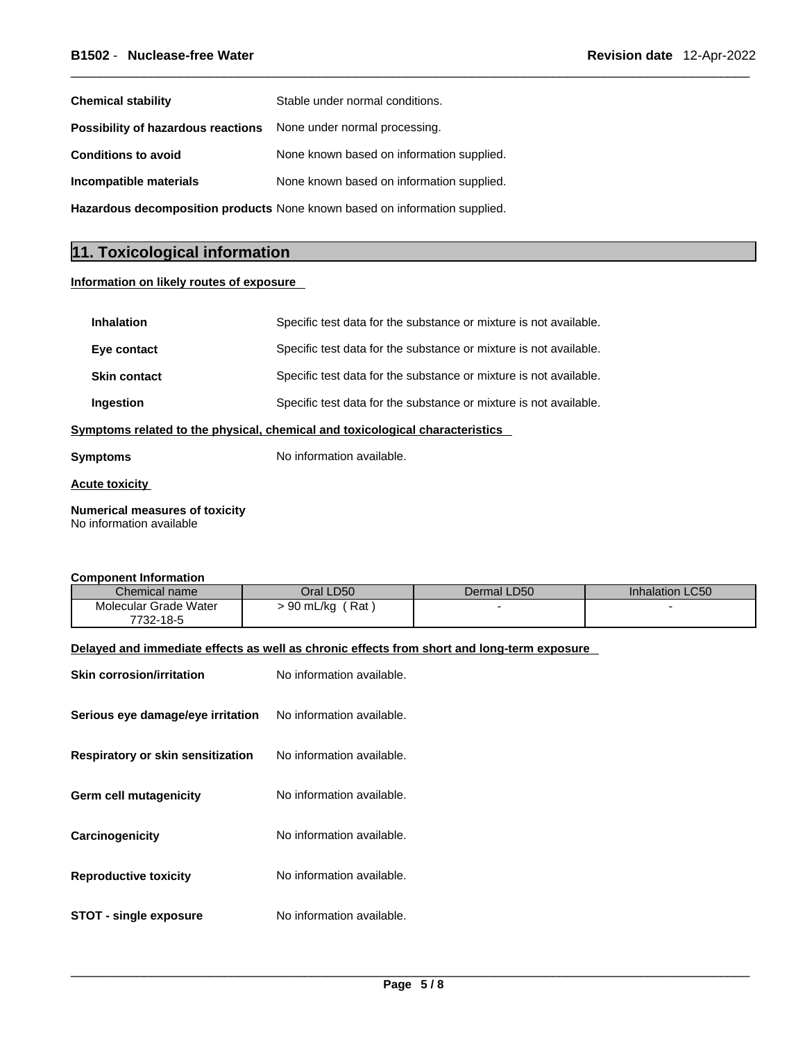| <b>Chemical stability</b>          | Stable under normal conditions.                                            |
|------------------------------------|----------------------------------------------------------------------------|
| Possibility of hazardous reactions | None under normal processing.                                              |
| <b>Conditions to avoid</b>         | None known based on information supplied.                                  |
| Incompatible materials             | None known based on information supplied.                                  |
|                                    | Hazardous decomposition products None known based on information supplied. |

### **11. Toxicological information**

### **Information on likely routes of exposure**

| <b>Inhalation</b>   | Specific test data for the substance or mixture is not available.            |
|---------------------|------------------------------------------------------------------------------|
| Eye contact         | Specific test data for the substance or mixture is not available.            |
| <b>Skin contact</b> | Specific test data for the substance or mixture is not available.            |
| Ingestion           | Specific test data for the substance or mixture is not available.            |
|                     | Symptoms related to the physical, chemical and toxicological characteristics |

**Symptoms** No information available.

**Acute toxicity**

**Numerical measures of toxicity** No information available

### **Component Information**

| Chemical name         | Oral LD50       | Dermal LD50 | <b>Inhalation LC50</b> |
|-----------------------|-----------------|-------------|------------------------|
| Molecular Grade Water | 90 mL/kg<br>Rat |             |                        |
| 7732-18-5             |                 |             |                        |

### **Delayed and immediate effects as well as chronic effects from short and long-term exposure**

| <b>Skin corrosion/irritation</b>  | No information available. |
|-----------------------------------|---------------------------|
| Serious eye damage/eye irritation | No information available. |
| Respiratory or skin sensitization | No information available. |
| <b>Germ cell mutagenicity</b>     | No information available. |
| Carcinogenicity                   | No information available. |
| <b>Reproductive toxicity</b>      | No information available. |
| <b>STOT - single exposure</b>     | No information available. |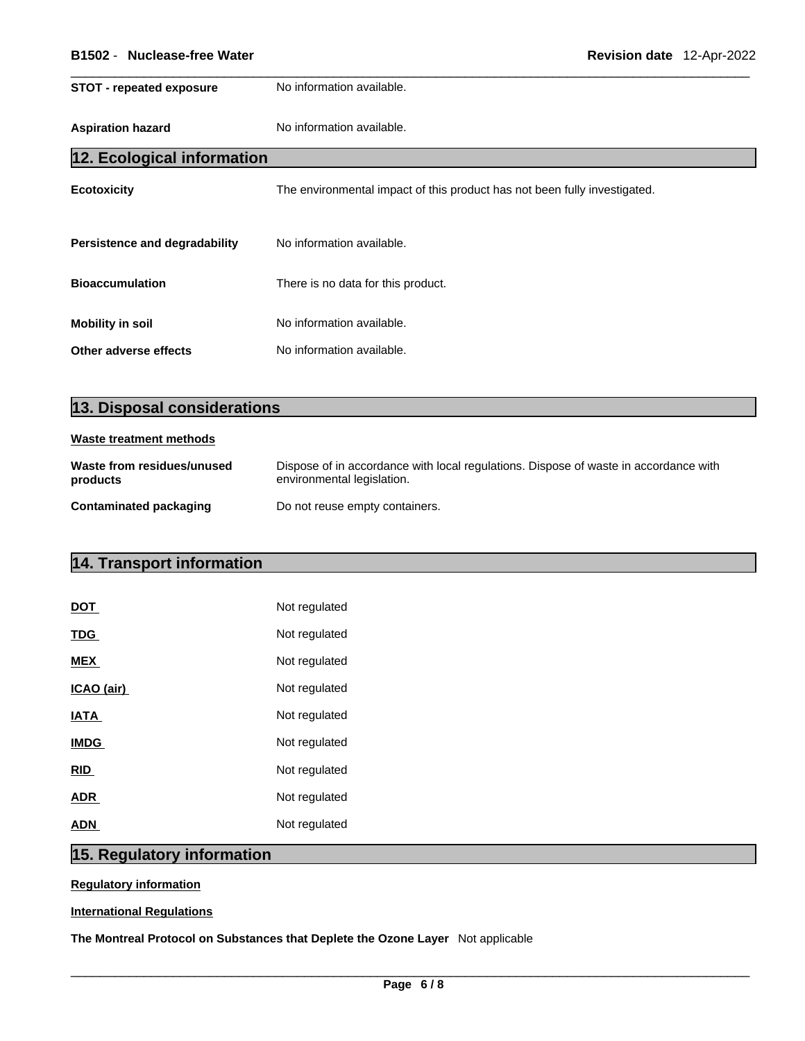| <b>STOT - repeated exposure</b>      | No information available.                                                 |
|--------------------------------------|---------------------------------------------------------------------------|
| <b>Aspiration hazard</b>             | No information available.                                                 |
| 12. Ecological information           |                                                                           |
| <b>Ecotoxicity</b>                   | The environmental impact of this product has not been fully investigated. |
| <b>Persistence and degradability</b> | No information available.                                                 |
| <b>Bioaccumulation</b>               | There is no data for this product.                                        |
| <b>Mobility in soil</b>              | No information available.                                                 |
| Other adverse effects                | No information available.                                                 |

| 13. Disposal considerations            |                                                                                                                    |  |  |
|----------------------------------------|--------------------------------------------------------------------------------------------------------------------|--|--|
| Waste treatment methods                |                                                                                                                    |  |  |
| Waste from residues/unused<br>products | Dispose of in accordance with local regulations. Dispose of waste in accordance with<br>environmental legislation. |  |  |
| Contaminated packaging                 | Do not reuse empty containers.                                                                                     |  |  |

### **14. Transport information**

| <b>DOT</b>  | Not regulated |
|-------------|---------------|
| <b>TDG</b>  | Not regulated |
| <b>MEX</b>  | Not regulated |
| ICAO (air)  | Not regulated |
| <b>IATA</b> | Not regulated |
| <b>IMDG</b> | Not regulated |
| <u>RID</u>  | Not regulated |
| <b>ADR</b>  | Not regulated |
| <b>ADN</b>  | Not regulated |

### **15. Regulatory information**

### **Regulatory information**

### **International Regulations**

**The Montreal Protocol on Substances that Deplete the Ozone Layer** Not applicable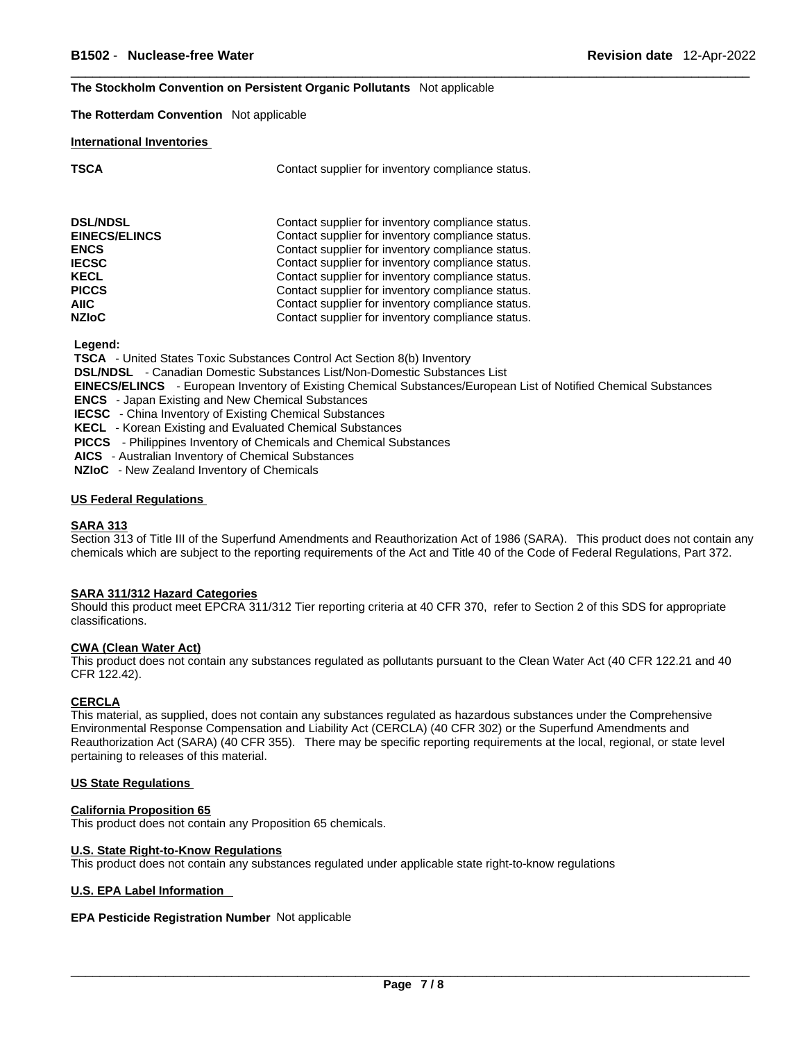#### **The Stockholm Convention on Persistent Organic Pollutants** Not applicable

**The Rotterdam Convention** Not applicable

#### **International Inventories**

|        | ۰.       |  |
|--------|----------|--|
| ×<br>٠ | M.<br>۰. |  |

Contact supplier for inventory compliance status.

| <b>DSL/NDSL</b><br><b>EINECS/ELINCS</b><br><b>ENCS</b> | Contact supplier for inventory compliance status.<br>Contact supplier for inventory compliance status.<br>Contact supplier for inventory compliance status. |
|--------------------------------------------------------|-------------------------------------------------------------------------------------------------------------------------------------------------------------|
| <b>IECSC</b>                                           | Contact supplier for inventory compliance status.                                                                                                           |
| <b>KECL</b>                                            | Contact supplier for inventory compliance status.                                                                                                           |
| <b>PICCS</b>                                           | Contact supplier for inventory compliance status.                                                                                                           |
| <b>AIIC</b>                                            | Contact supplier for inventory compliance status.                                                                                                           |
| <b>NZIoC</b>                                           | Contact supplier for inventory compliance status.                                                                                                           |

 **Legend:** 

 **TSCA** - United States Toxic Substances Control Act Section 8(b) Inventory

 **DSL/NDSL** - Canadian Domestic Substances List/Non-Domestic Substances List

 **EINECS/ELINCS** - European Inventory of Existing Chemical Substances/European List of Notified Chemical Substances

 **ENCS** - Japan Existing and New Chemical Substances

 **IECSC** - China Inventory of Existing Chemical Substances

 **KECL** - Korean Existing and Evaluated Chemical Substances

 **PICCS** - Philippines Inventory of Chemicals and Chemical Substances

 **AICS** - Australian Inventory of Chemical Substances

 **NZIoC** - New Zealand Inventory of Chemicals

### **US Federal Regulations**

#### **SARA 313**

Section 313 of Title III of the Superfund Amendments and Reauthorization Act of 1986 (SARA). This product does not contain any chemicals which are subject to the reporting requirements of the Act and Title 40 of the Code of Federal Regulations, Part 372.

#### **SARA 311/312 Hazard Categories**

Should this product meet EPCRA 311/312 Tier reporting criteria at 40 CFR 370, refer to Section 2 of this SDS for appropriate classifications.

#### **CWA (Clean WaterAct)**

This product does not contain any substances regulated as pollutants pursuant to the Clean Water Act (40 CFR 122.21 and 40 CFR 122.42).

### **CERCLA**

This material, as supplied, does not contain any substances regulated as hazardous substances under the Comprehensive Environmental Response Compensation and Liability Act (CERCLA) (40 CFR 302) or the Superfund Amendments and Reauthorization Act (SARA) (40 CFR 355). There may be specific reporting requirements at the local, regional, or state level pertaining to releases of this material.

#### **US State Regulations**

#### **California Proposition 65**

This product does not contain any Proposition 65 chemicals.

#### **U.S. State Right-to-Know Regulations**

This product does not contain any substances regulated under applicable state right-to-know regulations

#### **U.S. EPA Label Information**

### **EPA Pesticide Registration Number** Not applicable